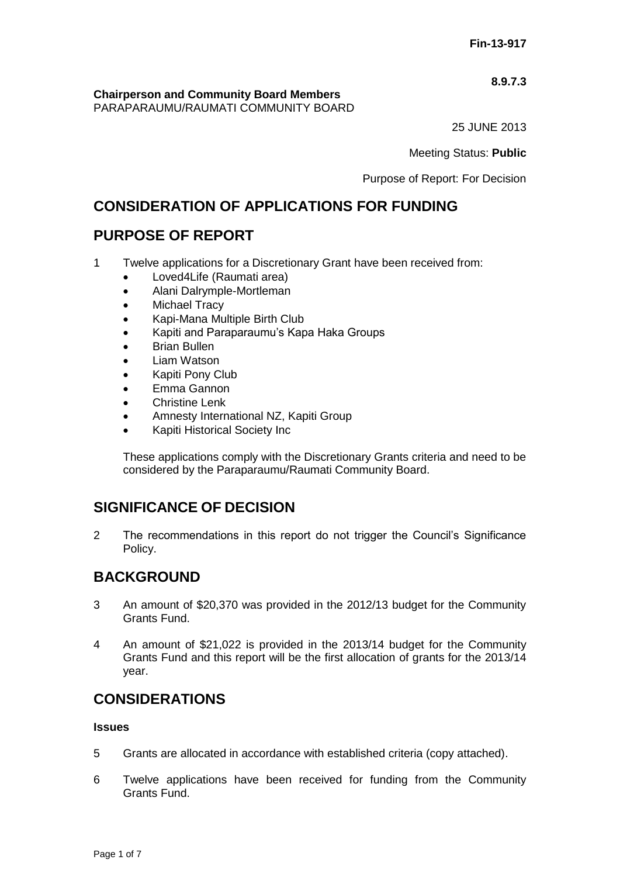# **8.9.7.3**

**Chairperson and Community Board Members**

PARAPARAUMU/RAUMATI COMMUNITY BOARD

25 JUNE 2013

Meeting Status: **Public**

Purpose of Report: For Decision

# **CONSIDERATION OF APPLICATIONS FOR FUNDING**

# **PURPOSE OF REPORT**

- 1 Twelve applications for a Discretionary Grant have been received from:
	- Loved4Life (Raumati area)
	- Alani Dalrymple-Mortleman
	- Michael Tracy
	- Kapi-Mana Multiple Birth Club
	- Kapiti and Paraparaumu's Kapa Haka Groups
	- Brian Bullen
	- Liam Watson
	- Kapiti Pony Club
	- Emma Gannon
	- **•** Christine Lenk
	- Amnesty International NZ, Kapiti Group
	- Kapiti Historical Society Inc

These applications comply with the Discretionary Grants criteria and need to be considered by the Paraparaumu/Raumati Community Board.

# **SIGNIFICANCE OF DECISION**

2 The recommendations in this report do not trigger the Council's Significance Policy.

# **BACKGROUND**

- 3 An amount of \$20,370 was provided in the 2012/13 budget for the Community Grants Fund.
- 4 An amount of \$21,022 is provided in the 2013/14 budget for the Community Grants Fund and this report will be the first allocation of grants for the 2013/14 year.

# **CONSIDERATIONS**

# **Issues**

- 5 Grants are allocated in accordance with established criteria (copy attached).
- 6 Twelve applications have been received for funding from the Community Grants Fund.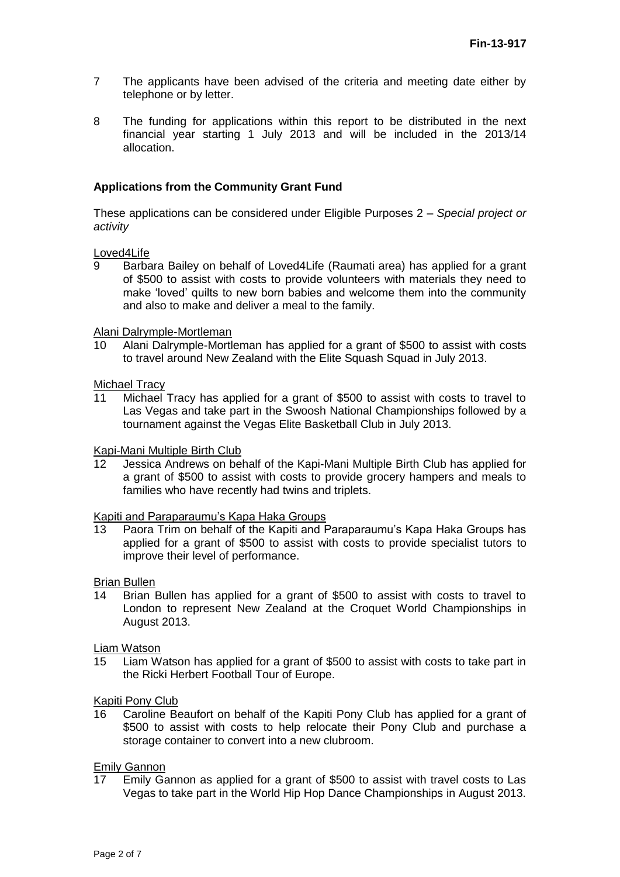- 7 The applicants have been advised of the criteria and meeting date either by telephone or by letter.
- 8 The funding for applications within this report to be distributed in the next financial year starting 1 July 2013 and will be included in the 2013/14 allocation.

# **Applications from the Community Grant Fund**

These applications can be considered under Eligible Purposes 2 *– Special project or activity*

### Loved4Life

9 Barbara Bailey on behalf of Loved4Life (Raumati area) has applied for a grant of \$500 to assist with costs to provide volunteers with materials they need to make 'loved' quilts to new born babies and welcome them into the community and also to make and deliver a meal to the family.

### Alani Dalrymple-Mortleman

10 Alani Dalrymple-Mortleman has applied for a grant of \$500 to assist with costs to travel around New Zealand with the Elite Squash Squad in July 2013.

### Michael Tracy

11 Michael Tracy has applied for a grant of \$500 to assist with costs to travel to Las Vegas and take part in the Swoosh National Championships followed by a tournament against the Vegas Elite Basketball Club in July 2013.

#### Kapi-Mani Multiple Birth Club

12 Jessica Andrews on behalf of the Kapi-Mani Multiple Birth Club has applied for a grant of \$500 to assist with costs to provide grocery hampers and meals to families who have recently had twins and triplets.

### Kapiti and Paraparaumu's Kapa Haka Groups

13 Paora Trim on behalf of the Kapiti and Paraparaumu's Kapa Haka Groups has applied for a grant of \$500 to assist with costs to provide specialist tutors to improve their level of performance.

#### Brian Bullen

14 Brian Bullen has applied for a grant of \$500 to assist with costs to travel to London to represent New Zealand at the Croquet World Championships in August 2013.

#### Liam Watson

15 Liam Watson has applied for a grant of \$500 to assist with costs to take part in the Ricki Herbert Football Tour of Europe.

#### Kapiti Pony Club

16 Caroline Beaufort on behalf of the Kapiti Pony Club has applied for a grant of \$500 to assist with costs to help relocate their Pony Club and purchase a storage container to convert into a new clubroom.

### **Emily Gannon**

17 Emily Gannon as applied for a grant of \$500 to assist with travel costs to Las Vegas to take part in the World Hip Hop Dance Championships in August 2013.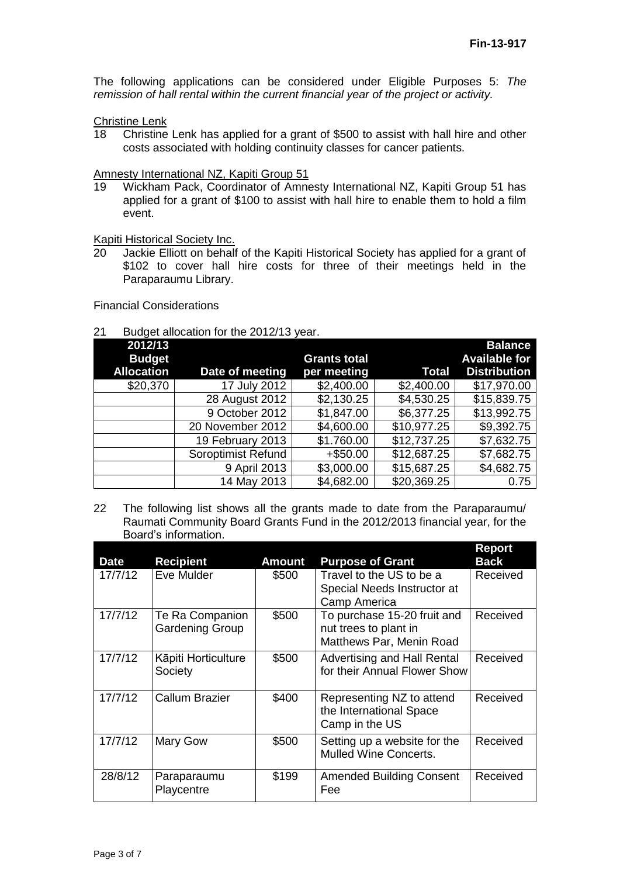The following applications can be considered under Eligible Purposes 5: *The remission of hall rental within the current financial year of the project or activity.*

Christine Lenk<br>18 Christine

18 Christine Lenk has applied for a grant of \$500 to assist with hall hire and other costs associated with holding continuity classes for cancer patients.

### Amnesty International NZ, Kapiti Group 51

19 Wickham Pack, Coordinator of Amnesty International NZ, Kapiti Group 51 has applied for a grant of \$100 to assist with hall hire to enable them to hold a film event.

**Kapiti Historical Society Inc.**<br>20 Jackie Elliott on behalf

Jackie Elliott on behalf of the Kapiti Historical Society has applied for a grant of \$102 to cover hall hire costs for three of their meetings held in the Paraparaumu Library.

Financial Considerations

### 21 Budget allocation for the 2012/13 year.

| 2012/13           |                           |                     |             | <b>Balance</b>       |
|-------------------|---------------------------|---------------------|-------------|----------------------|
| <b>Budget</b>     |                           | <b>Grants total</b> |             | <b>Available for</b> |
| <b>Allocation</b> | Date of meeting           | per meeting         | Total       | <b>Distribution</b>  |
| \$20,370          | 17 July 2012              | \$2,400.00          | \$2,400.00  | \$17,970.00          |
|                   | 28 August 2012            | \$2,130.25          | \$4,530.25  | \$15,839.75          |
|                   | 9 October 2012            | \$1,847.00          | \$6,377.25  | \$13,992.75          |
|                   | 20 November 2012          | \$4,600.00          | \$10,977.25 | \$9,392.75           |
|                   | 19 February 2013          | \$1.760.00          | \$12,737.25 | \$7,632.75           |
|                   | <b>Soroptimist Refund</b> | $+$ \$50.00         | \$12,687.25 | \$7,682.75           |
|                   | 9 April 2013              | \$3,000.00          | \$15,687.25 | \$4,682.75           |
|                   | 14 May 2013               | \$4,682.00          | \$20,369.25 | 0.75                 |

22 The following list shows all the grants made to date from the Paraparaumu/ Raumati Community Board Grants Fund in the 2012/2013 financial year, for the Board's information.

| <b>Date</b> | <b>Recipient</b>                          | <b>Amount</b> | <b>Purpose of Grant</b>                                                          | <b>Report</b><br><b>Back</b> |
|-------------|-------------------------------------------|---------------|----------------------------------------------------------------------------------|------------------------------|
| 17/7/12     | Eve Mulder                                | \$500         | Travel to the US to be a<br>Special Needs Instructor at<br>Camp America          | Received                     |
| 17/7/12     | Te Ra Companion<br><b>Gardening Group</b> | \$500         | To purchase 15-20 fruit and<br>nut trees to plant in<br>Matthews Par, Menin Road | Received                     |
| 17/7/12     | Kāpiti Horticulture<br>Society            | \$500         | Advertising and Hall Rental<br>for their Annual Flower Show                      | Received                     |
| 17/7/12     | <b>Callum Brazier</b>                     | \$400         | Representing NZ to attend<br>the International Space<br>Camp in the US           | Received                     |
| 17/7/12     | Mary Gow                                  | \$500         | Setting up a website for the<br><b>Mulled Wine Concerts.</b>                     | Received                     |
| 28/8/12     | Paraparaumu<br>Playcentre                 | \$199         | <b>Amended Building Consent</b><br>Fee                                           | Received                     |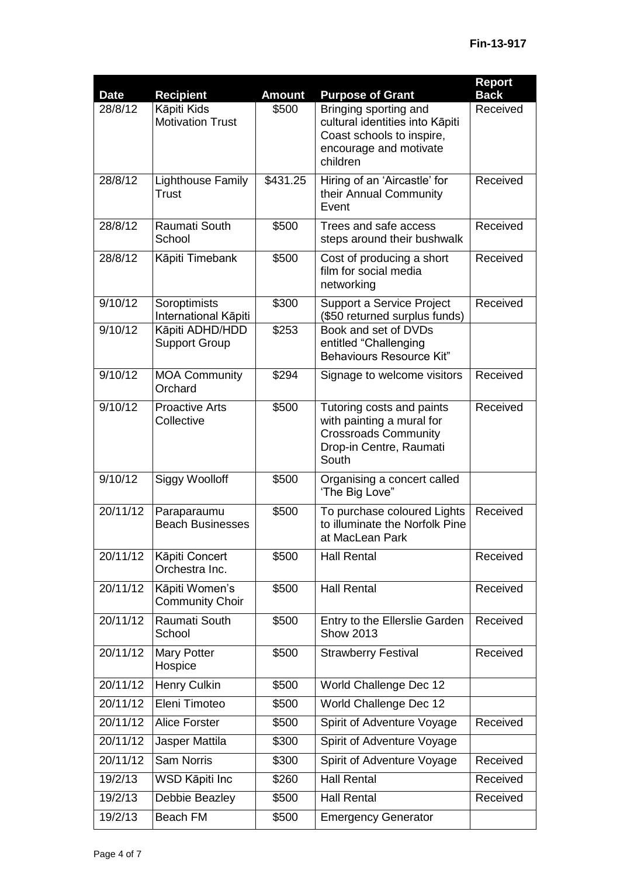| <b>Date</b> | <b>Recipient</b>                         | <b>Amount</b> | <b>Purpose of Grant</b>                                                                                                     | <b>Report</b><br><b>Back</b> |
|-------------|------------------------------------------|---------------|-----------------------------------------------------------------------------------------------------------------------------|------------------------------|
| 28/8/12     | Kāpiti Kids<br><b>Motivation Trust</b>   | \$500         | Bringing sporting and<br>cultural identities into Kāpiti<br>Coast schools to inspire,<br>encourage and motivate<br>children | Received                     |
| 28/8/12     | Lighthouse Family<br>Trust               | \$431.25      | Hiring of an 'Aircastle' for<br>their Annual Community<br>Event                                                             | Received                     |
| 28/8/12     | Raumati South<br>School                  | \$500         | Trees and safe access<br>steps around their bushwalk                                                                        | Received                     |
| 28/8/12     | Kāpiti Timebank                          | \$500         | Cost of producing a short<br>film for social media<br>networking                                                            | Received                     |
| 9/10/12     | Soroptimists<br>International Kāpiti     | \$300         | Support a Service Project<br>(\$50 returned surplus funds)                                                                  | Received                     |
| 9/10/12     | Kāpiti ADHD/HDD<br><b>Support Group</b>  | \$253         | Book and set of DVDs<br>entitled "Challenging<br><b>Behaviours Resource Kit"</b>                                            |                              |
| 9/10/12     | <b>MOA Community</b><br>Orchard          | \$294         | Signage to welcome visitors                                                                                                 | Received                     |
| 9/10/12     | <b>Proactive Arts</b><br>Collective      | \$500         | Tutoring costs and paints<br>with painting a mural for<br><b>Crossroads Community</b><br>Drop-in Centre, Raumati<br>South   | Received                     |
| 9/10/12     | <b>Siggy Woolloff</b>                    | \$500         | Organising a concert called<br>'The Big Love"                                                                               |                              |
| 20/11/12    | Paraparaumu<br><b>Beach Businesses</b>   | \$500         | To purchase coloured Lights<br>to illuminate the Norfolk Pine<br>at MacLean Park                                            | Received                     |
| 20/11/12    | Kāpiti Concert<br>Orchestra Inc.         | \$500         | <b>Hall Rental</b>                                                                                                          | Received                     |
| 20/11/12    | Kāpiti Women's<br><b>Community Choir</b> | \$500         | <b>Hall Rental</b>                                                                                                          | Received                     |
| 20/11/12    | Raumati South<br>School                  | \$500         | Entry to the Ellerslie Garden<br><b>Show 2013</b>                                                                           | Received                     |
| 20/11/12    | Mary Potter<br>Hospice                   | \$500         | <b>Strawberry Festival</b>                                                                                                  | Received                     |
| 20/11/12    | Henry Culkin                             | \$500         | World Challenge Dec 12                                                                                                      |                              |
| 20/11/12    | Eleni Timoteo                            | \$500         | World Challenge Dec 12                                                                                                      |                              |
| 20/11/12    | <b>Alice Forster</b>                     | \$500         | Spirit of Adventure Voyage                                                                                                  | Received                     |
| 20/11/12    | Jasper Mattila                           | \$300         | Spirit of Adventure Voyage                                                                                                  |                              |
| 20/11/12    | <b>Sam Norris</b>                        | \$300         | Spirit of Adventure Voyage                                                                                                  | Received                     |
| 19/2/13     | WSD Kāpiti Inc                           | \$260         | <b>Hall Rental</b>                                                                                                          | Received                     |
| 19/2/13     | Debbie Beazley                           | \$500         | <b>Hall Rental</b>                                                                                                          | Received                     |
| 19/2/13     | Beach FM                                 | \$500         | <b>Emergency Generator</b>                                                                                                  |                              |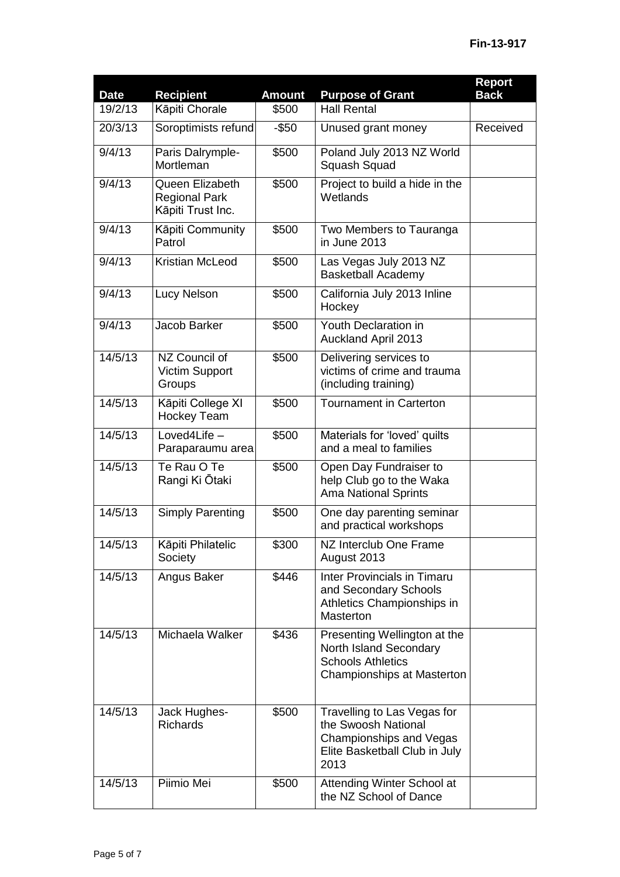| <b>Date</b>         | <b>Recipient</b>                                             | <b>Amount</b> | <b>Purpose of Grant</b>                                                                                                | Report<br><b>Back</b> |
|---------------------|--------------------------------------------------------------|---------------|------------------------------------------------------------------------------------------------------------------------|-----------------------|
| 19/2/13             | Kāpiti Chorale                                               | \$500         | <b>Hall Rental</b>                                                                                                     |                       |
| 20/3/13             | Soroptimists refund                                          | $-$ \$50      | Unused grant money                                                                                                     | Received              |
| 9/4/13              | Paris Dalrymple-<br>Mortleman                                | \$500         | Poland July 2013 NZ World<br>Squash Squad                                                                              |                       |
| 9/4/13              | Queen Elizabeth<br><b>Regional Park</b><br>Kāpiti Trust Inc. | \$500         | Project to build a hide in the<br>Wetlands                                                                             |                       |
| 9/4/13              | Kāpiti Community<br>Patrol                                   | \$500         | Two Members to Tauranga<br>in June 2013                                                                                |                       |
| $\overline{9}/4/13$ | Kristian McLeod                                              | \$500         | Las Vegas July 2013 NZ<br><b>Basketball Academy</b>                                                                    |                       |
| 9/4/13              | Lucy Nelson                                                  | \$500         | California July 2013 Inline<br>Hockey                                                                                  |                       |
| 9/4/13              | Jacob Barker                                                 | \$500         | Youth Declaration in<br><b>Auckland April 2013</b>                                                                     |                       |
| 14/5/13             | NZ Council of<br><b>Victim Support</b><br>Groups             | \$500         | Delivering services to<br>victims of crime and trauma<br>(including training)                                          |                       |
| 14/5/13             | Kāpiti College XI<br><b>Hockey Team</b>                      | \$500         | <b>Tournament in Carterton</b>                                                                                         |                       |
| 14/5/13             | Loved4Life -<br>Paraparaumu area                             | \$500         | Materials for 'loved' quilts<br>and a meal to families                                                                 |                       |
| 14/5/13             | Te Rau O Te<br>Rangi Ki Ōtaki                                | \$500         | Open Day Fundraiser to<br>help Club go to the Waka<br><b>Ama National Sprints</b>                                      |                       |
| 14/5/13             | <b>Simply Parenting</b>                                      | \$500         | One day parenting seminar<br>and practical workshops                                                                   |                       |
| 14/5/13             | Kāpiti Philatelic<br>Society                                 | \$300         | NZ Interclub One Frame<br>August 2013                                                                                  |                       |
| 14/5/13             | Angus Baker                                                  | \$446         | Inter Provincials in Timaru<br>and Secondary Schools<br>Athletics Championships in<br>Masterton                        |                       |
| 14/5/13             | Michaela Walker                                              | \$436         | Presenting Wellington at the<br>North Island Secondary<br><b>Schools Athletics</b><br>Championships at Masterton       |                       |
| 14/5/13             | Jack Hughes-<br><b>Richards</b>                              | \$500         | Travelling to Las Vegas for<br>the Swoosh National<br>Championships and Vegas<br>Elite Basketball Club in July<br>2013 |                       |
| 14/5/13             | Piimio Mei                                                   | \$500         | Attending Winter School at<br>the NZ School of Dance                                                                   |                       |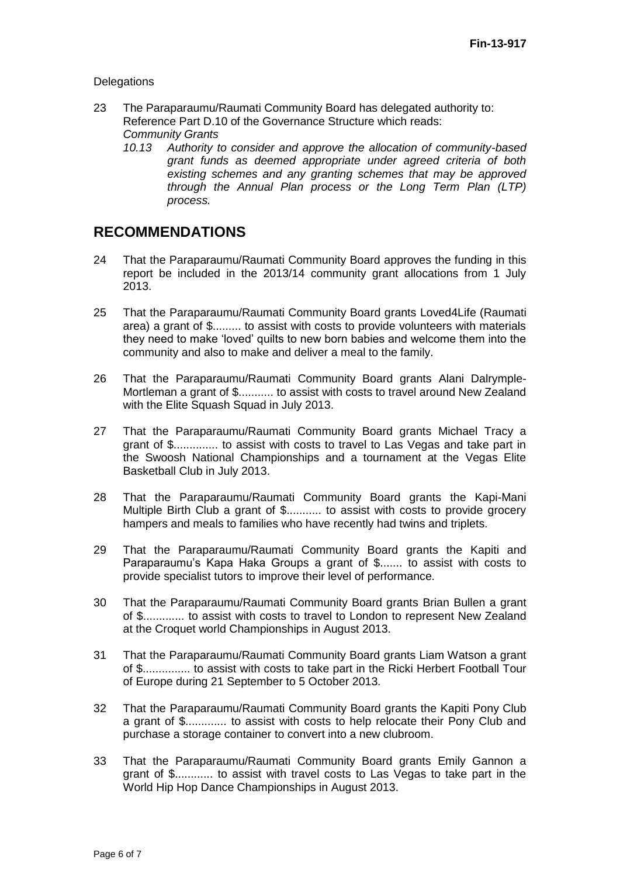### **Delegations**

- 23 The Paraparaumu/Raumati Community Board has delegated authority to: Reference Part D.10 of the Governance Structure which reads: *Community Grants*
	- *10.13 Authority to consider and approve the allocation of community-based grant funds as deemed appropriate under agreed criteria of both existing schemes and any granting schemes that may be approved through the Annual Plan process or the Long Term Plan (LTP) process.*

# **RECOMMENDATIONS**

- 24 That the Paraparaumu/Raumati Community Board approves the funding in this report be included in the 2013/14 community grant allocations from 1 July 2013.
- 25 That the Paraparaumu/Raumati Community Board grants Loved4Life (Raumati area) a grant of \$......... to assist with costs to provide volunteers with materials they need to make 'loved' quilts to new born babies and welcome them into the community and also to make and deliver a meal to the family.
- 26 That the Paraparaumu/Raumati Community Board grants Alani Dalrymple-Mortleman a grant of \$........... to assist with costs to travel around New Zealand with the Elite Squash Squad in July 2013.
- 27 That the Paraparaumu/Raumati Community Board grants Michael Tracy a grant of \$.............. to assist with costs to travel to Las Vegas and take part in the Swoosh National Championships and a tournament at the Vegas Elite Basketball Club in July 2013.
- 28 That the Paraparaumu/Raumati Community Board grants the Kapi-Mani Multiple Birth Club a grant of \$........... to assist with costs to provide grocery hampers and meals to families who have recently had twins and triplets.
- 29 That the Paraparaumu/Raumati Community Board grants the Kapiti and Paraparaumu's Kapa Haka Groups a grant of \$....... to assist with costs to provide specialist tutors to improve their level of performance.
- 30 That the Paraparaumu/Raumati Community Board grants Brian Bullen a grant of \$............. to assist with costs to travel to London to represent New Zealand at the Croquet world Championships in August 2013.
- 31 That the Paraparaumu/Raumati Community Board grants Liam Watson a grant of \$............... to assist with costs to take part in the Ricki Herbert Football Tour of Europe during 21 September to 5 October 2013.
- 32 That the Paraparaumu/Raumati Community Board grants the Kapiti Pony Club a grant of \$............. to assist with costs to help relocate their Pony Club and purchase a storage container to convert into a new clubroom.
- 33 That the Paraparaumu/Raumati Community Board grants Emily Gannon a grant of \$............ to assist with travel costs to Las Vegas to take part in the World Hip Hop Dance Championships in August 2013.